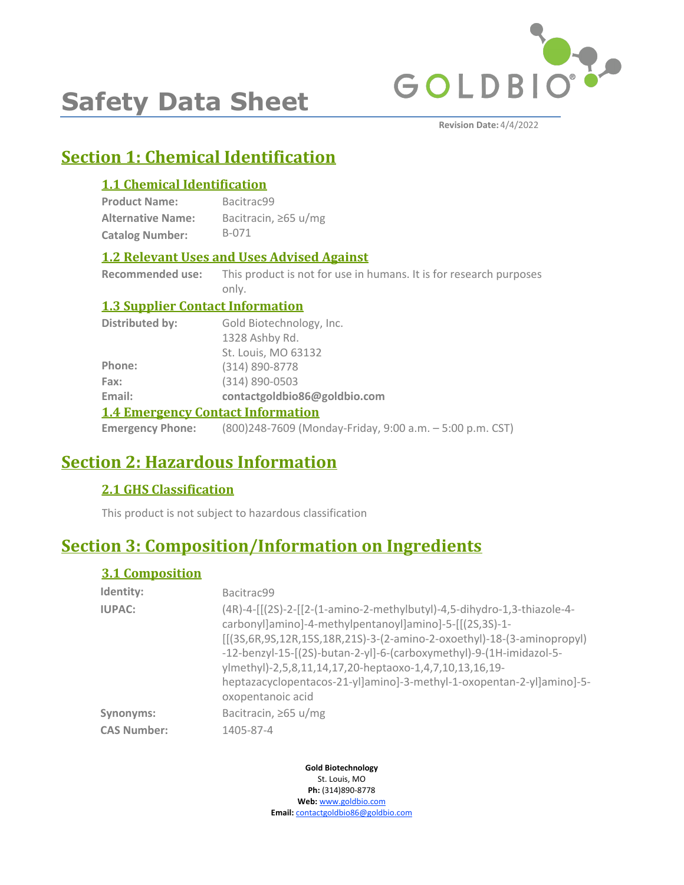

# **Safety Data Sheet**

**Revision Date:** 4/4/2022

# **Section 1: Chemical Identification**

# **1.1 Chemical Identification**

| <b>Product Name:</b>     | Bacitrac99           |
|--------------------------|----------------------|
| <b>Alternative Name:</b> | Bacitracin, ≥65 u/mg |
| <b>Catalog Number:</b>   | B-071                |

# **1.2 Relevant Uses and Uses Advised Against**

**Recommended use:** This product is not for use in humans. It is for research purposes only.

# **1.3 Supplier Contact Information**

| Distributed by: | Gold Biotechnology, Inc.                                                         |
|-----------------|----------------------------------------------------------------------------------|
|                 | 1328 Ashby Rd.                                                                   |
|                 | St. Louis, MO 63132                                                              |
| Phone:          | (314) 890-8778                                                                   |
| Fax:            | $(314) 890 - 0503$                                                               |
| Email:          | contactgoldbio86@goldbio.com                                                     |
|                 | <b>1.4 Emergency Contact Information</b>                                         |
|                 | <b>Emergency Phone:</b> (800)248-7609 (Monday-Friday, 9:00 a.m. - 5:00 p.m. CST) |

# **Section 2: Hazardous Information**

# **2.1 GHS Classification**

This product is not subject to hazardous classification

# **Section 3: Composition/Information on Ingredients**

# **3.1 Composition**

| Identity:          | Bacitrac99                                                                                                                                                                                                                                                                                                                                                                                                                                              |
|--------------------|---------------------------------------------------------------------------------------------------------------------------------------------------------------------------------------------------------------------------------------------------------------------------------------------------------------------------------------------------------------------------------------------------------------------------------------------------------|
| <b>IUPAC:</b>      | (4R)-4-[[(2S)-2-[[2-(1-amino-2-methylbutyl)-4,5-dihydro-1,3-thiazole-4-<br>carbonyllaminol-4-methylpentanoyllaminol-5-[[(2S,3S)-1-<br>$[[(3S, 6R, 9S, 12R, 15S, 18R, 21S) - 3-(2-amino-2-oxoethyl)-18-(3-aminopropyl)]$<br>-12-benzyl-15-[(2S)-butan-2-yl]-6-(carboxymethyl)-9-(1H-imidazol-5-<br>ylmethyl)-2,5,8,11,14,17,20-heptaoxo-1,4,7,10,13,16,19-<br>heptazacyclopentacos-21-yl]amino]-3-methyl-1-oxopentan-2-yl]amino]-5-<br>oxopentanoic acid |
| Synonyms:          | Bacitracin, $\geq 65 \frac{\text{u}}{\text{mg}}$                                                                                                                                                                                                                                                                                                                                                                                                        |
| <b>CAS Number:</b> | 1405-87-4                                                                                                                                                                                                                                                                                                                                                                                                                                               |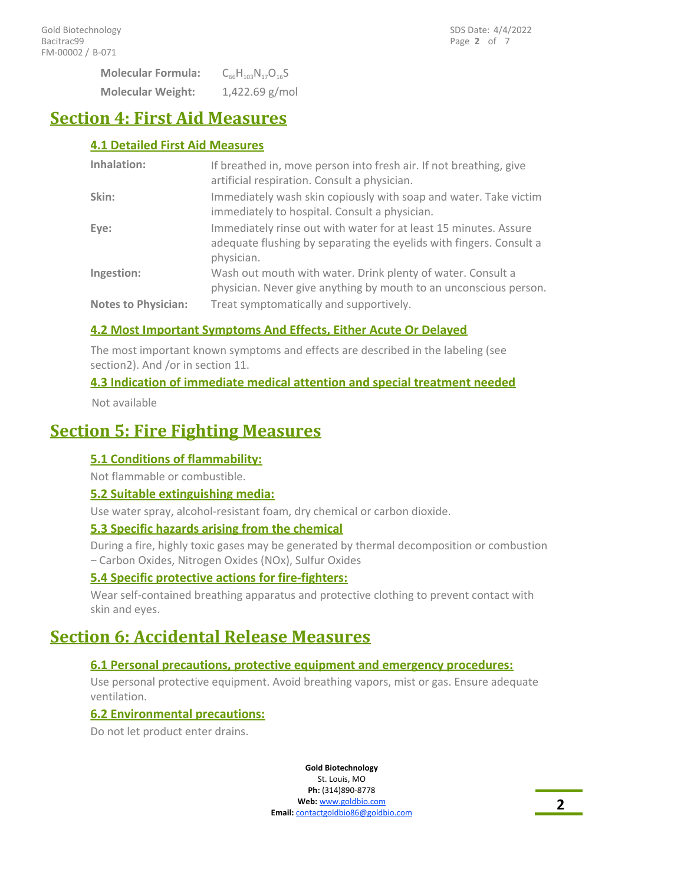**Molecular Weight:** 1,422.69 g/mol **Molecular Formula:** C<sub>66</sub>H<sub>103</sub>N<sub>17</sub>O<sub>16</sub>S

# **Section 4: First Aid Measures**

# **4.1 Detailed First Aid Measures**

| Inhalation:                | If breathed in, move person into fresh air. If not breathing, give<br>artificial respiration. Consult a physician.                                    |
|----------------------------|-------------------------------------------------------------------------------------------------------------------------------------------------------|
| Skin:                      | Immediately wash skin copiously with soap and water. Take victim<br>immediately to hospital. Consult a physician.                                     |
| Eye:                       | Immediately rinse out with water for at least 15 minutes. Assure<br>adequate flushing by separating the eyelids with fingers. Consult a<br>physician. |
| Ingestion:                 | Wash out mouth with water. Drink plenty of water. Consult a<br>physician. Never give anything by mouth to an unconscious person.                      |
| <b>Notes to Physician:</b> | Treat symptomatically and supportively.                                                                                                               |

# **4.2 Most Important Symptoms And Effects, Either Acute Or Delayed**

The most important known symptoms and effects are described in the labeling (see section2). And /or in section 11.

# **4.3 Indication of immediate medical attention and special treatment needed**

Not available

# **Section 5: Fire Fighting Measures**

# **5.1 Conditions of flammability:**

Not flammable or combustible.

## **5.2 Suitable extinguishing media:**

Use water spray, alcohol-resistant foam, dry chemical or carbon dioxide.

## **5.3 Specific hazards arising from the chemical**

During a fire, highly toxic gases may be generated by thermal decomposition or combustion – Carbon Oxides, Nitrogen Oxides (NOx), Sulfur Oxides

## **5.4 Specific protective actions for fire-fighters:**

Wear self-contained breathing apparatus and protective clothing to prevent contact with skin and eyes.

# **Section 6: Accidental Release Measures**

## **6.1 Personal precautions, protective equipment and emergency procedures:**

Use personal protective equipment. Avoid breathing vapors, mist or gas. Ensure adequate ventilation.

## **6.2 Environmental precautions:**

Do not let product enter drains.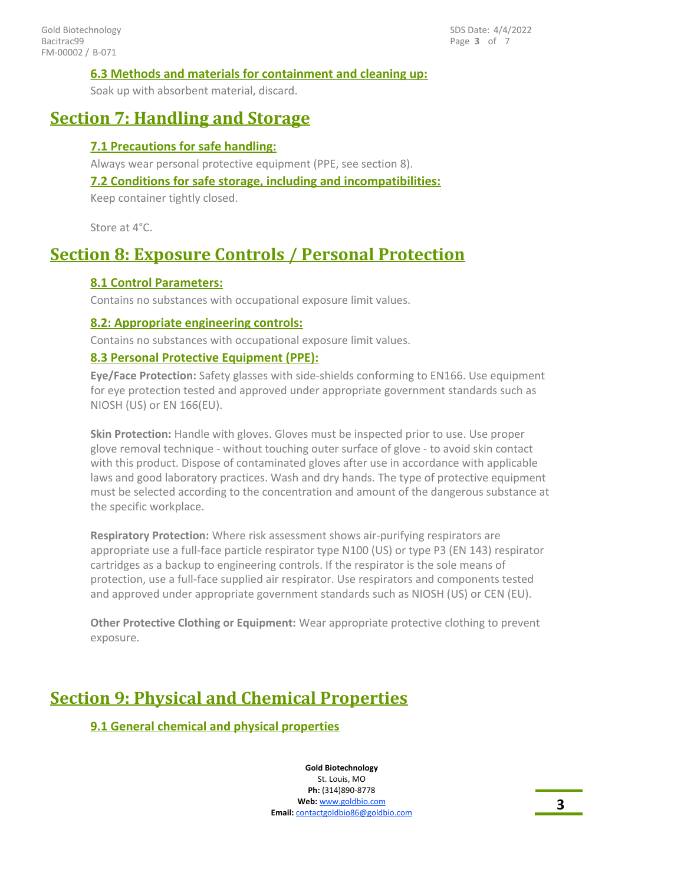### **6.3 Methods and materials for containment and cleaning up:**

Soak up with absorbent material, discard.

# **Section 7: Handling and Storage**

## **7.1 Precautions for safe handling:**

Always wear personal protective equipment (PPE, see section 8).

### **7.2 Conditions for safe storage, including and incompatibilities:**

Keep container tightly closed.

Store at 4°C.

# **Section 8: Exposure Controls / Personal Protection**

## **8.1 Control Parameters:**

Contains no substances with occupational exposure limit values.

#### **8.2: Appropriate engineering controls:**

Contains no substances with occupational exposure limit values.

## **8.3 Personal Protective Equipment (PPE):**

**Eye/Face Protection:** Safety glasses with side-shields conforming to EN166. Use equipment for eye protection tested and approved under appropriate government standards such as NIOSH (US) or EN 166(EU).

**Skin Protection:** Handle with gloves. Gloves must be inspected prior to use. Use proper glove removal technique - without touching outer surface of glove - to avoid skin contact with this product. Dispose of contaminated gloves after use in accordance with applicable laws and good laboratory practices. Wash and dry hands. The type of protective equipment must be selected according to the concentration and amount of the dangerous substance at the specific workplace.

**Respiratory Protection:** Where risk assessment shows air-purifying respirators are appropriate use a full-face particle respirator type N100 (US) or type P3 (EN 143) respirator cartridges as a backup to engineering controls. If the respirator is the sole means of protection, use a full-face supplied air respirator. Use respirators and components tested and approved under appropriate government standards such as NIOSH (US) or CEN (EU).

**Other Protective Clothing or Equipment:** Wear appropriate protective clothing to prevent exposure.

# **Section 9: Physical and Chemical Properties**

## **9.1 General chemical and physical properties**

**Gold Biotechnology** St. Louis, MO **Ph:** (314)890-8778 **Web:** www.goldbio.com **Email:** contactgoldbio.com **3**<br>**Email:** contactgoldbio86@goldbio.com **3**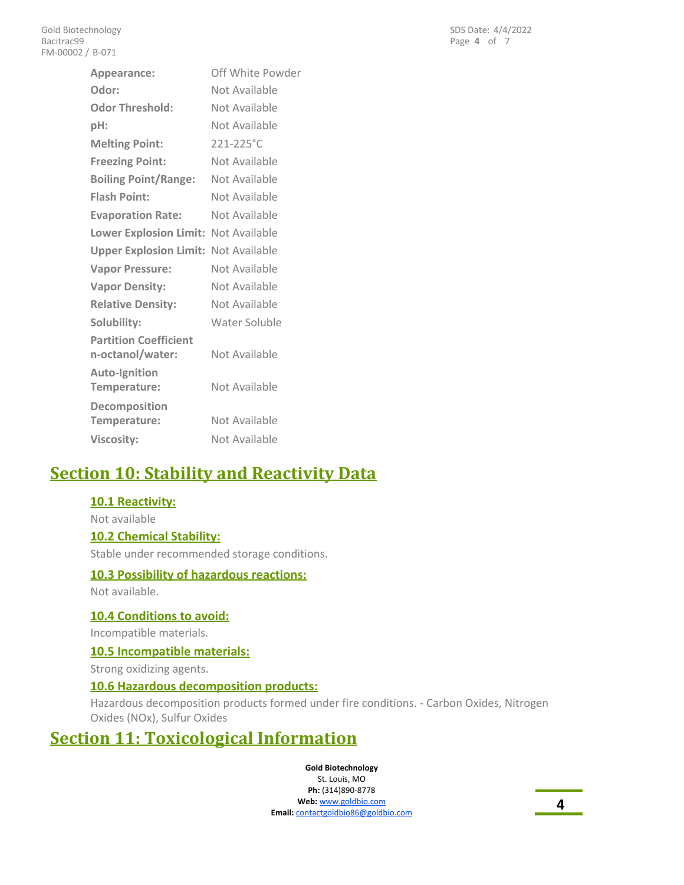| Appearance:                                      | Off White Powder |
|--------------------------------------------------|------------------|
| Odor:                                            | Not Available    |
| <b>Odor Threshold:</b>                           | Not Available    |
| pH:                                              | Not Available    |
| <b>Melting Point:</b>                            | 221-225°C        |
| <b>Freezing Point:</b>                           | Not Available    |
| <b>Boiling Point/Range:</b>                      | Not Available    |
| <b>Flash Point:</b>                              | Not Available    |
| <b>Evaporation Rate:</b>                         | Not Available    |
| Lower Explosion Limit: Not Available             |                  |
| <b>Upper Explosion Limit: Not Available</b>      |                  |
| <b>Vapor Pressure:</b>                           | Not Available    |
| <b>Vapor Density:</b>                            | Not Available    |
| <b>Relative Density:</b>                         | Not Available    |
| Solubility:                                      | Water Soluble    |
| <b>Partition Coefficient</b><br>n-octanol/water: | Not Available    |
| <b>Auto-Ignition</b><br>Temperature:             | Not Available    |
| Decomposition<br>Temperature:                    | Not Available    |
| <b>Viscosity:</b>                                | Not Available    |

# **Section 10: Stability and Reactivity Data**

## **10.1 Reactivity:**

Not available

#### **10.2 Chemical Stability:**

Stable under recommended storage conditions.

#### **10.3 Possibility of hazardous reactions:**

Not available.

#### **10.4 Conditions to avoid:**

Incompatible materials.

#### **10.5 Incompatible materials:**

Strong oxidizing agents.

#### **10.6 Hazardous decomposition products:**

Hazardous decomposition products formed under fire conditions. - Carbon Oxides, Nitrogen Oxides (NOx), Sulfur Oxides

# **Section 11: Toxicological Information**

#### **Gold Biotechnology**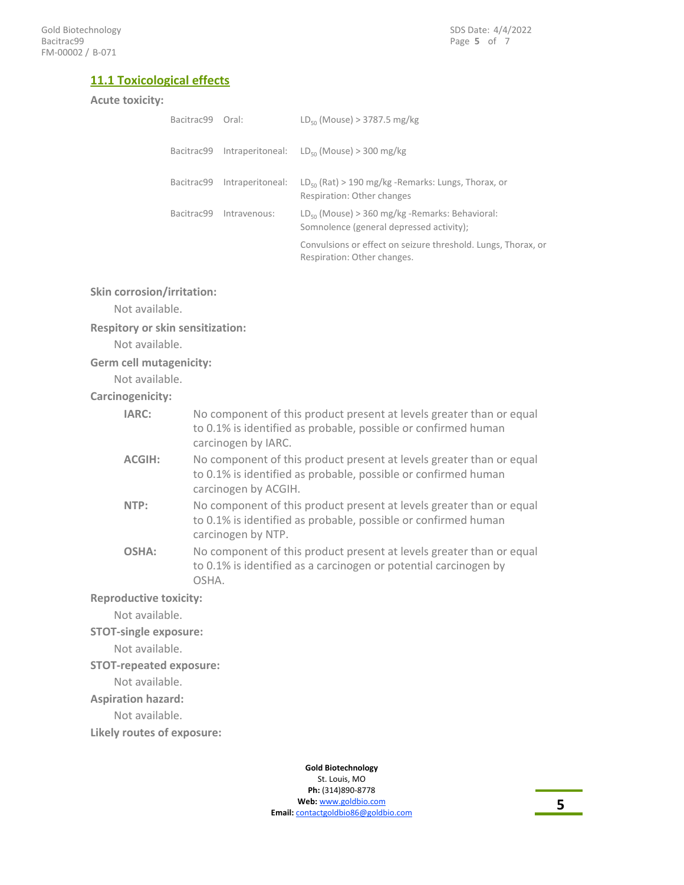## **11.1 Toxicological effects**

#### **Acute toxicity:**

| Bacitrac99 Oral: |                         | $LD_{50}$ (Mouse) > 3787.5 mg/kg                                                                        |
|------------------|-------------------------|---------------------------------------------------------------------------------------------------------|
| Bacitrac99       |                         | Intraperitoneal: $LD_{50}$ (Mouse) > 300 mg/kg                                                          |
| Bacitrac99       | Intraperitoneal:        | $LD_{50}$ (Rat) > 190 mg/kg -Remarks: Lungs, Thorax, or<br>Respiration: Other changes                   |
|                  | Bacitrac99 Intravenous: | $LD_{\epsilon_0}$ (Mouse) > 360 mg/kg -Remarks: Behavioral:<br>Somnolence (general depressed activity): |
|                  |                         | Convulsions or effect on seizure threshold. Lungs, Thorax, or<br>Respiration: Other changes.            |

#### **Skin corrosion/irritation:**

Not available.

#### **Respitory or skin sensitization:**

Not available.

#### **Germ cell mutagenicity:**

Not available.

#### **Carcinogenicity:**

| IARC:                         | No component of this product present at levels greater than or equal<br>to 0.1% is identified as probable, possible or confirmed human<br>carcinogen by IARC.  |  |
|-------------------------------|----------------------------------------------------------------------------------------------------------------------------------------------------------------|--|
| <b>ACGIH:</b>                 | No component of this product present at levels greater than or equal<br>to 0.1% is identified as probable, possible or confirmed human<br>carcinogen by ACGIH. |  |
| NTP:                          | No component of this product present at levels greater than or equal<br>to 0.1% is identified as probable, possible or confirmed human<br>carcinogen by NTP.   |  |
| OSHA:                         | No component of this product present at levels greater than or equal<br>to 0.1% is identified as a carcinogen or potential carcinogen by<br>OSHA.              |  |
| <b>Reproductive toxicity:</b> |                                                                                                                                                                |  |

Not available.

#### **STOT-single exposure:**

Not available.

#### **STOT-repeated exposure:**

Not available.

**Aspiration hazard:**

#### Not available.

**Likely routes of exposure:**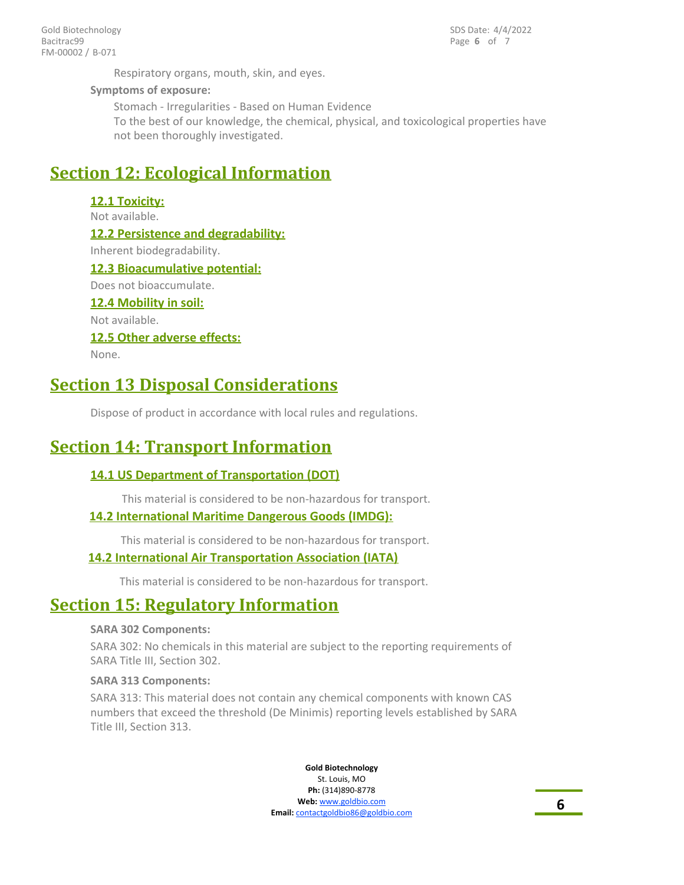Page **6** of 7 SDS Date: 4/4/2022

Respiratory organs, mouth, skin, and eyes.

#### **Symptoms of exposure:**

Stomach - Irregularities - Based on Human Evidence To the best of our knowledge, the chemical, physical, and toxicological properties have not been thoroughly investigated.

# **Section 12: Ecological Information**

# **12.1 Toxicity:** Not available. **12.2 Persistence and degradability:** Inherent biodegradability. **12.3 Bioacumulative potential:** Does not bioaccumulate. **12.4 Mobility in soil:** Not available.

# **12.5 Other adverse effects:**

None.

# **Section 13 Disposal Considerations**

Dispose of product in accordance with local rules and regulations.

# **Section 14: Transport Information**

## **14.1 US Department of Transportation (DOT)**

This material is considered to be non-hazardous for transport.

## **14.2 International Maritime Dangerous Goods (IMDG):**

This material is considered to be non-hazardous for transport.

## **14.2 International Air Transportation Association (IATA)**

This material is considered to be non-hazardous for transport.

# **Section 15: Regulatory Information**

#### **SARA 302 Components:**

SARA 302: No chemicals in this material are subject to the reporting requirements of SARA Title III, Section 302.

#### **SARA 313 Components:**

SARA 313: This material does not contain any chemical components with known CAS numbers that exceed the threshold (De Minimis) reporting levels established by SARA Title III, Section 313.